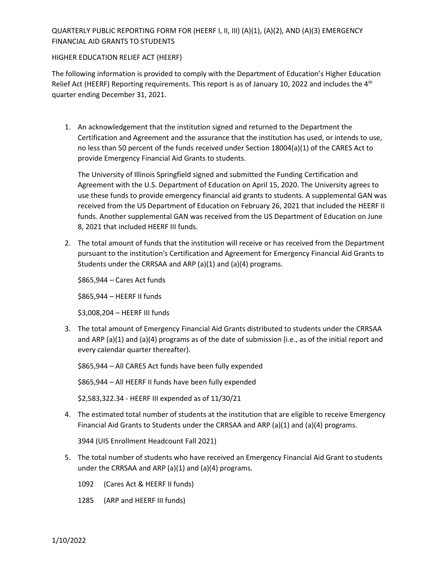## QUARTERLY PUBLIC REPORTING FORM FOR (HEERF I, II, III) (A)(1), (A)(2), AND (A)(3) EMERGENCY FINANCIAL AID GRANTS TO STUDENTS

## HIGHER EDUCATION RELIEF ACT (HEERF)

The following information is provided to comply with the Department of Education's Higher Education Relief Act (HEERF) Reporting requirements. This report is as of January 10, 2022 and includes the 4<sup>th</sup> quarter ending December 31, 2021.

1. An acknowledgement that the institution signed and returned to the Department the Certification and Agreement and the assurance that the institution has used, or intends to use, no less than 50 percent of the funds received under Section 18004(a)(1) of the CARES Act to provide Emergency Financial Aid Grants to students.

The University of Illinois Springfield signed and submitted the Funding Certification and Agreement with the U.S. Department of Education on April 15, 2020. The University agrees to use these funds to provide emergency financial aid grants to students. A supplemental GAN was received from the US Department of Education on February 26, 2021 that included the HEERF II funds. Another supplemental GAN was received from the US Department of Education on June 8, 2021 that included HEERF III funds.

2. The total amount of funds that the institution will receive or has received from the Department pursuant to the institution's Certification and Agreement for Emergency Financial Aid Grants to Students under the CRRSAA and ARP (a)(1) and (a)(4) programs.

\$865,944 – Cares Act funds

\$865,944 – HEERF II funds

\$3,008,204 – HEERF III funds

3. The total amount of Emergency Financial Aid Grants distributed to students under the CRRSAA and ARP (a)(1) and (a)(4) programs as of the date of submission (i.e., as of the initial report and every calendar quarter thereafter).

\$865,944 – All CARES Act funds have been fully expended

\$865,944 – All HEERF II funds have been fully expended

\$2,583,322.34 - HEERF III expended as of 11/30/21

4. The estimated total number of students at the institution that are eligible to receive Emergency Financial Aid Grants to Students under the CRRSAA and ARP (a)(1) and (a)(4) programs.

3944 (UIS Enrollment Headcount Fall 2021)

- 5. The total number of students who have received an Emergency Financial Aid Grant to students under the CRRSAA and ARP (a)(1) and (a)(4) programs.
	- 1092 (Cares Act & HEERF II funds)
	- 1285 (ARP and HEERF III funds)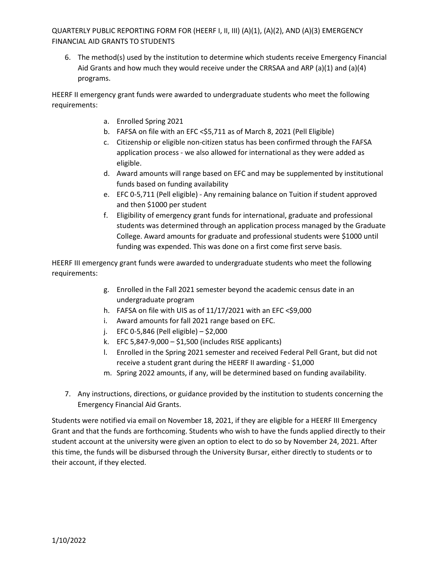QUARTERLY PUBLIC REPORTING FORM FOR (HEERF I, II, III) (A)(1), (A)(2), AND (A)(3) EMERGENCY FINANCIAL AID GRANTS TO STUDENTS

6. The method(s) used by the institution to determine which students receive Emergency Financial Aid Grants and how much they would receive under the CRRSAA and ARP (a)(1) and (a)(4) programs.

HEERF II emergency grant funds were awarded to undergraduate students who meet the following requirements:

- a. Enrolled Spring 2021
- b. FAFSA on file with an EFC < \$5,711 as of March 8, 2021 (Pell Eligible)
- c. Citizenship or eligible non-citizen status has been confirmed through the FAFSA application process - we also allowed for international as they were added as eligible.
- d. Award amounts will range based on EFC and may be supplemented by institutional funds based on funding availability
- e. EFC 0-5,711 (Pell eligible) Any remaining balance on Tuition if student approved and then \$1000 per student
- f. Eligibility of emergency grant funds for international, graduate and professional students was determined through an application process managed by the Graduate College. Award amounts for graduate and professional students were \$1000 until funding was expended. This was done on a first come first serve basis.

HEERF III emergency grant funds were awarded to undergraduate students who meet the following requirements:

- g. Enrolled in the Fall 2021 semester beyond the academic census date in an undergraduate program
- h. FAFSA on file with UIS as of  $11/17/2021$  with an EFC <\$9,000
- i. Award amounts for fall 2021 range based on EFC.
- j. EFC 0-5,846 (Pell eligible) \$2,000
- k. EFC 5,847-9,000 \$1,500 (includes RISE applicants)
- l. Enrolled in the Spring 2021 semester and received Federal Pell Grant, but did not receive a student grant during the HEERF II awarding - \$1,000
- m. Spring 2022 amounts, if any, will be determined based on funding availability.
- 7. Any instructions, directions, or guidance provided by the institution to students concerning the Emergency Financial Aid Grants.

Students were notified via email on November 18, 2021, if they are eligible for a HEERF III Emergency Grant and that the funds are forthcoming. Students who wish to have the funds applied directly to their student account at the university were given an option to elect to do so by November 24, 2021. After this time, the funds will be disbursed through the University Bursar, either directly to students or to their account, if they elected.